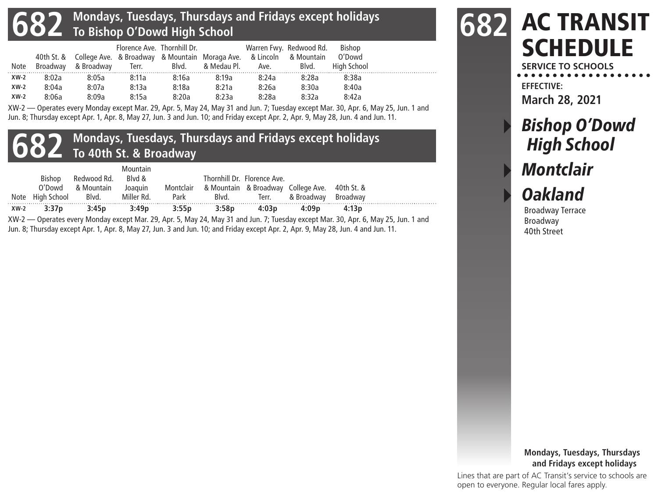### **682 Mondays, Tuesdays, Thursdays and Fridays except holidays To Bishop O'Dowd High School**

|        |       |                     | Florence Ave. Thornhill Dr. |       |                                                                                |                                                                                                                 | Warren Fwy. Redwood Rd. | Bishop      |  |
|--------|-------|---------------------|-----------------------------|-------|--------------------------------------------------------------------------------|-----------------------------------------------------------------------------------------------------------------|-------------------------|-------------|--|
|        |       |                     |                             |       | 40th St. & College Ave. & Broadway & Mountain Moraga Ave. & Lincoln & Mountain |                                                                                                                 |                         | O'Dowd      |  |
| Note   |       | Broadway & Broadway | $\mathcal{A}$ Terr.         | Blvd. | & Medau Pl.                                                                    | Ave. And a set of the set of the set of the set of the set of the set of the set of the set of the set of the s | Blvd.                   | High School |  |
| $XW-2$ | 8:02a | 8:05a               | 8:11a                       | 8:16a | 8:19a                                                                          | 8:24a                                                                                                           | 8:28a                   | 8:38a       |  |
| $XW-2$ | 8:04a | 8:07a               | 8:13a                       | 8:18a | 8:21a                                                                          | 8:26a                                                                                                           | 8:30a                   | 8:40a       |  |
| $XW-2$ | 8:06a | 8:09a               | 8:15a                       | 8:20a | 8:23a                                                                          | 8:28a                                                                                                           | 8:32a                   | 8:42a       |  |

XW-2 — Operates every Monday except Mar. 29, Apr. 5, May 24, May 31 and Jun. 7; Tuesday except Mar. 30, Apr. 6, May 25, Jun. 1 and Jun. 8; Thursday except Apr. 1, Apr. 8, May 27, Jun. 3 and Jun. 10; and Friday except Apr. 2, Apr. 9, May 28, Jun. 4 and Jun. 11.

## **682 Mondays, Tuesdays, Thursdays and Fridays except holidays To 40th St. & Broadway**

|        | Bishop           | Redwood Rd. | Mountain<br>Blvd & |           |       | Thornhill Dr. Florence Ave. |                                               |       |
|--------|------------------|-------------|--------------------|-----------|-------|-----------------------------|-----------------------------------------------|-------|
|        | O'Dowd           | & Mountain  | Joaquin            | Montclair |       |                             | & Mountain & Broadway College Ave. 40th St. & |       |
|        | Note High School | Blvd.       | Miller Rd.         | Park      | Blvd. |                             | Terr. & Broadway Broadway                     |       |
| $XW-2$ | 3:37p            | 3:45p       | 3:49p              | 3:55p     | 3:58p | 4:03p                       | 4:09p                                         | 4:13p |

XW-2 — Operates every Monday except Mar. 29, Apr. 5, May 24, May 31 and Jun. 7; Tuesday except Mar. 30, Apr. 6, May 25, Jun. 1 and Jun. 8; Thursday except Apr. 1, Apr. 8, May 27, Jun. 3 and Jun. 10; and Friday except Apr. 2, Apr. 9, May 28, Jun. 4 and Jun. 11.

## AC TRANSIT **SCHEDULE 682**

**SERVICE TO SCHOOLS EFFECTIVE:**

**March 28, 2021**

# **Bishop O'Dowd** High School **Montclair Oakland**

Broadway Terrace Broadway 40th Street

#### **Mondays, Tuesdays, Thursdays and Fridays except holidays**

Lines that are part of AC Transit's service to schools are open to everyone. Regular local fares apply.